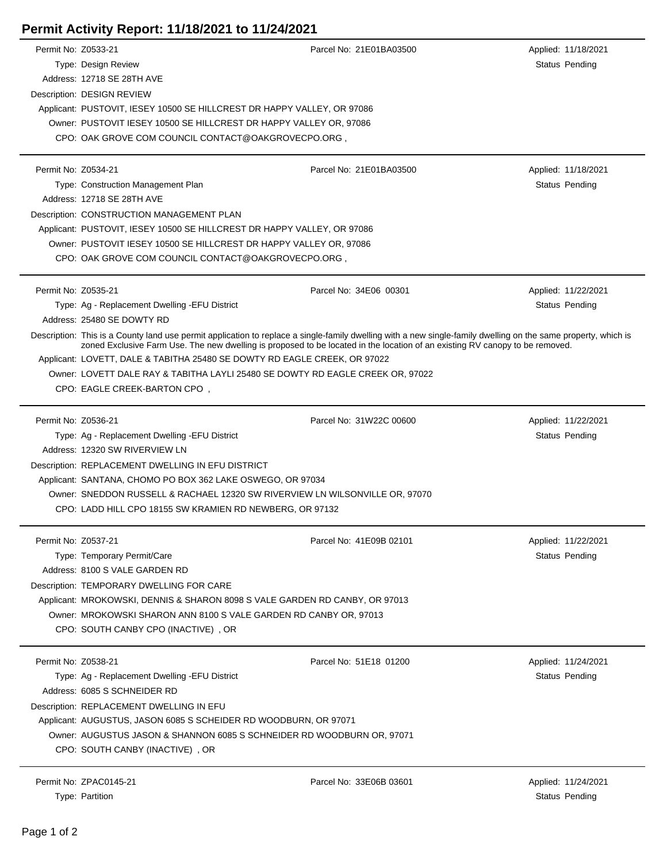## **Permit Activity Report: 11/18/2021 to 11/24/2021**

| Permit No: Z0533-21 |                                                                                                                                                                                                                                                                                                | Parcel No: 21E01BA03500 | Applied: 11/18/2021   |
|---------------------|------------------------------------------------------------------------------------------------------------------------------------------------------------------------------------------------------------------------------------------------------------------------------------------------|-------------------------|-----------------------|
|                     | Type: Design Review                                                                                                                                                                                                                                                                            |                         | Status Pending        |
|                     | Address: 12718 SE 28TH AVE                                                                                                                                                                                                                                                                     |                         |                       |
|                     | Description: DESIGN REVIEW                                                                                                                                                                                                                                                                     |                         |                       |
|                     | Applicant: PUSTOVIT, IESEY 10500 SE HILLCREST DR HAPPY VALLEY, OR 97086                                                                                                                                                                                                                        |                         |                       |
|                     | Owner: PUSTOVIT IESEY 10500 SE HILLCREST DR HAPPY VALLEY OR, 97086                                                                                                                                                                                                                             |                         |                       |
|                     | CPO: OAK GROVE COM COUNCIL CONTACT@OAKGROVECPO.ORG,                                                                                                                                                                                                                                            |                         |                       |
|                     |                                                                                                                                                                                                                                                                                                |                         |                       |
| Permit No: Z0534-21 |                                                                                                                                                                                                                                                                                                | Parcel No: 21E01BA03500 | Applied: 11/18/2021   |
|                     | Type: Construction Management Plan                                                                                                                                                                                                                                                             |                         | Status Pending        |
|                     | Address: 12718 SE 28TH AVE                                                                                                                                                                                                                                                                     |                         |                       |
|                     | Description: CONSTRUCTION MANAGEMENT PLAN                                                                                                                                                                                                                                                      |                         |                       |
|                     | Applicant: PUSTOVIT, IESEY 10500 SE HILLCREST DR HAPPY VALLEY, OR 97086                                                                                                                                                                                                                        |                         |                       |
|                     | Owner: PUSTOVIT IESEY 10500 SE HILLCREST DR HAPPY VALLEY OR, 97086                                                                                                                                                                                                                             |                         |                       |
|                     | CPO: OAK GROVE COM COUNCIL CONTACT@OAKGROVECPO.ORG,                                                                                                                                                                                                                                            |                         |                       |
| Permit No: Z0535-21 |                                                                                                                                                                                                                                                                                                | Parcel No: 34E06 00301  | Applied: 11/22/2021   |
|                     | Type: Ag - Replacement Dwelling - EFU District                                                                                                                                                                                                                                                 |                         | Status Pending        |
|                     | Address: 25480 SE DOWTY RD                                                                                                                                                                                                                                                                     |                         |                       |
|                     | Description: This is a County land use permit application to replace a single-family dwelling with a new single-family dwelling on the same property, which is<br>zoned Exclusive Farm Use. The new dwelling is proposed to be located in the location of an existing RV canopy to be removed. |                         |                       |
|                     | Applicant: LOVETT, DALE & TABITHA 25480 SE DOWTY RD EAGLE CREEK, OR 97022                                                                                                                                                                                                                      |                         |                       |
|                     | Owner: LOVETT DALE RAY & TABITHA LAYLI 25480 SE DOWTY RD EAGLE CREEK OR, 97022                                                                                                                                                                                                                 |                         |                       |
|                     | CPO: EAGLE CREEK-BARTON CPO,                                                                                                                                                                                                                                                                   |                         |                       |
|                     |                                                                                                                                                                                                                                                                                                |                         |                       |
| Permit No: Z0536-21 |                                                                                                                                                                                                                                                                                                | Parcel No: 31W22C 00600 | Applied: 11/22/2021   |
|                     | Type: Ag - Replacement Dwelling - EFU District                                                                                                                                                                                                                                                 |                         | Status Pending        |
|                     | Address: 12320 SW RIVERVIEW LN                                                                                                                                                                                                                                                                 |                         |                       |
|                     | Description: REPLACEMENT DWELLING IN EFU DISTRICT                                                                                                                                                                                                                                              |                         |                       |
|                     | Applicant: SANTANA, CHOMO PO BOX 362 LAKE OSWEGO, OR 97034                                                                                                                                                                                                                                     |                         |                       |
|                     | Owner: SNEDDON RUSSELL & RACHAEL 12320 SW RIVERVIEW LN WILSONVILLE OR, 97070                                                                                                                                                                                                                   |                         |                       |
|                     | CPO: LADD HILL CPO 18155 SW KRAMIEN RD NEWBERG, OR 97132                                                                                                                                                                                                                                       |                         |                       |
| Permit No: Z0537-21 |                                                                                                                                                                                                                                                                                                | Parcel No: 41E09B 02101 | Applied: 11/22/2021   |
|                     | Type: Temporary Permit/Care                                                                                                                                                                                                                                                                    |                         | Status Pending        |
|                     | Address: 8100 S VALE GARDEN RD                                                                                                                                                                                                                                                                 |                         |                       |
|                     | Description: TEMPORARY DWELLING FOR CARE                                                                                                                                                                                                                                                       |                         |                       |
|                     | Applicant: MROKOWSKI, DENNIS & SHARON 8098 S VALE GARDEN RD CANBY, OR 97013                                                                                                                                                                                                                    |                         |                       |
|                     | Owner: MROKOWSKI SHARON ANN 8100 S VALE GARDEN RD CANBY OR, 97013                                                                                                                                                                                                                              |                         |                       |
|                     | CPO: SOUTH CANBY CPO (INACTIVE), OR                                                                                                                                                                                                                                                            |                         |                       |
|                     |                                                                                                                                                                                                                                                                                                |                         |                       |
| Permit No: Z0538-21 |                                                                                                                                                                                                                                                                                                | Parcel No: 51E18 01200  | Applied: 11/24/2021   |
|                     | Type: Ag - Replacement Dwelling - EFU District                                                                                                                                                                                                                                                 |                         | Status Pending        |
|                     | Address: 6085 S SCHNEIDER RD                                                                                                                                                                                                                                                                   |                         |                       |
|                     | Description: REPLACEMENT DWELLING IN EFU                                                                                                                                                                                                                                                       |                         |                       |
|                     | Applicant: AUGUSTUS, JASON 6085 S SCHEIDER RD WOODBURN, OR 97071                                                                                                                                                                                                                               |                         |                       |
|                     | Owner: AUGUSTUS JASON & SHANNON 6085 S SCHNEIDER RD WOODBURN OR, 97071                                                                                                                                                                                                                         |                         |                       |
|                     | CPO: SOUTH CANBY (INACTIVE), OR                                                                                                                                                                                                                                                                |                         |                       |
|                     |                                                                                                                                                                                                                                                                                                |                         |                       |
|                     | Permit No: ZPAC0145-21                                                                                                                                                                                                                                                                         | Parcel No: 33E06B 03601 | Applied: 11/24/2021   |
|                     | Type: Partition                                                                                                                                                                                                                                                                                |                         | <b>Status Pending</b> |